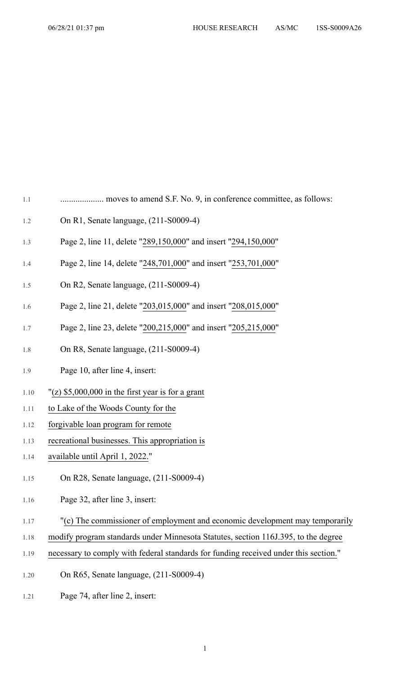1.1 .................... moves to amend S.F. No. 9, in conference committee, as follows:

- 1.2 On R1, Senate language, (211-S0009-4)
- 1.3 Page 2, line 11, delete "289,150,000" and insert "294,150,000"
- 1.4 Page 2, line 14, delete "248,701,000" and insert "253,701,000"
- 1.5 On R2, Senate language, (211-S0009-4)
- 1.6 Page 2, line 21, delete "203,015,000" and insert "208,015,000"
- 1.7 Page 2, line 23, delete "200,215,000" and insert "205,215,000"
- 1.8 On R8, Senate language, (211-S0009-4)
- 1.9 Page 10, after line 4, insert:
- 1.10  $\degree$  (z) \$5,000,000 in the first year is for a grant
- 1.11 to Lake of the Woods County for the
- 1.12 forgivable loan program for remote
- 1.13 recreational businesses. This appropriation is
- 1.14 available until April 1, 2022."
- 1.15 On R28, Senate language, (211-S0009-4)
- 1.16 Page 32, after line 3, insert:
- 1.17 "(c) The commissioner of employment and economic development may temporarily
- 1.18 modify program standards under Minnesota Statutes, section 116J.395, to the degree
- 1.19 necessary to comply with federal standards for funding received under this section."
- 1.20 On R65, Senate language, (211-S0009-4)
- 1.21 Page 74, after line 2, insert: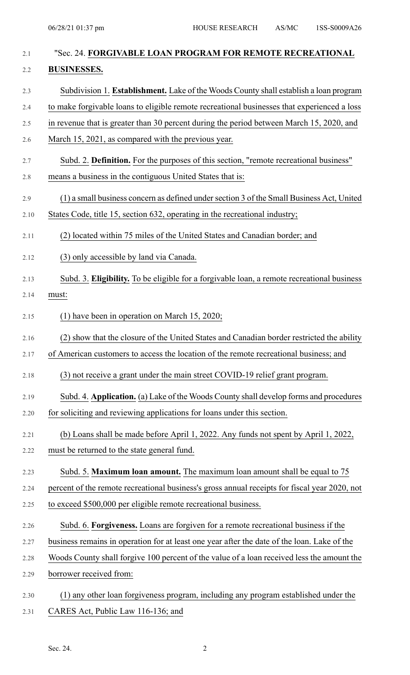| 2.1  | "Sec. 24. FORGIVABLE LOAN PROGRAM FOR REMOTE RECREATIONAL                                     |
|------|-----------------------------------------------------------------------------------------------|
| 2.2  | <b>BUSINESSES.</b>                                                                            |
| 2.3  | Subdivision 1. Establishment. Lake of the Woods County shall establish a loan program         |
| 2.4  | to make forgivable loans to eligible remote recreational businesses that experienced a loss   |
| 2.5  | in revenue that is greater than 30 percent during the period between March 15, 2020, and      |
| 2.6  | March 15, 2021, as compared with the previous year.                                           |
| 2.7  | Subd. 2. Definition. For the purposes of this section, "remote recreational business"         |
| 2.8  | means a business in the contiguous United States that is:                                     |
| 2.9  | (1) a small business concern as defined under section 3 of the Small Business Act, United     |
| 2.10 | States Code, title 15, section 632, operating in the recreational industry;                   |
| 2.11 | (2) located within 75 miles of the United States and Canadian border; and                     |
| 2.12 | (3) only accessible by land via Canada.                                                       |
| 2.13 | Subd. 3. Eligibility. To be eligible for a forgivable loan, a remote recreational business    |
| 2.14 | must:                                                                                         |
| 2.15 | $(1)$ have been in operation on March 15, 2020;                                               |
| 2.16 | (2) show that the closure of the United States and Canadian border restricted the ability     |
| 2.17 | of American customers to access the location of the remote recreational business; and         |
| 2.18 | (3) not receive a grant under the main street COVID-19 relief grant program.                  |
| 2.19 | Subd. 4. Application. (a) Lake of the Woods County shall develop forms and procedures         |
| 2.20 | for soliciting and reviewing applications for loans under this section.                       |
| 2.21 | (b) Loans shall be made before April 1, 2022. Any funds not spent by April 1, 2022,           |
| 2.22 | must be returned to the state general fund.                                                   |
| 2.23 | Subd. 5. Maximum loan amount. The maximum loan amount shall be equal to 75                    |
| 2.24 | percent of the remote recreational business's gross annual receipts for fiscal year 2020, not |
| 2.25 | to exceed \$500,000 per eligible remote recreational business.                                |
| 2.26 | Subd. 6. Forgiveness. Loans are forgiven for a remote recreational business if the            |
| 2.27 | business remains in operation for at least one year after the date of the loan. Lake of the   |
| 2.28 | Woods County shall forgive 100 percent of the value of a loan received less the amount the    |
| 2.29 | borrower received from:                                                                       |
| 2.30 | (1) any other loan forgiveness program, including any program established under the           |
| 2.31 | CARES Act, Public Law 116-136; and                                                            |